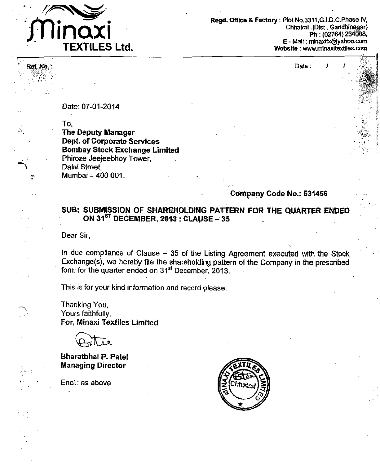

Ref. No.

Regd. Office & Factory : Plot No.3311, G.I.D.C. Phase IV, Chhatral (Dist Gandhinagar) Ph: (02764) 234008, E - Mail: minaxitx@yahoo.com Website: www.minaxitextiles.com

Date:

Date: 07-01-2014

To. **The Deputy Manager Dept. of Corporate Services Bombay Stock Exchange Limited** Phiroze Jeejeebhoy Tower, Dalal Street. Mumbai - 400 001.

Company Code No.: 531456

SUB: SUBMISSION OF SHAREHOLDING PATTERN FOR THE QUARTER ENDED ON 31<sup>ST</sup> DECEMBER, 2013 : CLAUSE - 35

Dear Sir,

In due compliance of Clause  $-35$  of the Listing Agreement executed with the Stock Exchange(s), we hereby file the shareholding pattern of the Company in the prescribed form for the quarter ended on 31<sup>st</sup> December, 2013.

This is for your kind information and record please.

Thanking You, Yours faithfully, For, Minaxi Textiles Limited

**Bharatbhai P. Patel Managing Director** 

Encl.: as above

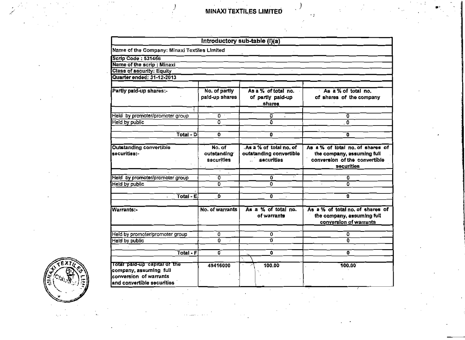× p

|                                                                                                                |                                     | Introductory sub-table (I)(a)                                   |                                                                                                               |
|----------------------------------------------------------------------------------------------------------------|-------------------------------------|-----------------------------------------------------------------|---------------------------------------------------------------------------------------------------------------|
| Name of the Company: Minaxi Textiles Limited                                                                   |                                     |                                                                 |                                                                                                               |
| <b>Scrip Code: 531456</b>                                                                                      |                                     |                                                                 |                                                                                                               |
| Name of the scrip: Minaxi                                                                                      |                                     |                                                                 |                                                                                                               |
| <b>Class of security: Equity</b>                                                                               |                                     |                                                                 |                                                                                                               |
| Quarter ended: 31-12-2013                                                                                      |                                     |                                                                 |                                                                                                               |
| Partly paid-up shares:-                                                                                        | No. of partly<br>paid-up shares     | As a % of total no.<br>of partly paid-up<br>shares              | As a % of total no.<br>of shares of the company                                                               |
| Held by promoter/promoter group                                                                                | n -                                 | o                                                               | 0                                                                                                             |
| Held by public                                                                                                 | $\overline{\mathfrak{o}}$           | û                                                               | 0                                                                                                             |
| Total - Di                                                                                                     | o                                   | 0                                                               | o                                                                                                             |
|                                                                                                                |                                     |                                                                 |                                                                                                               |
| <b>Outstanding convertible</b><br>securities:-                                                                 | No. of<br>outstanding<br>securities | As a % of total no. of<br>outstanding convertible<br>securities | As a % of total no. of shares of<br>the company, assuming full<br>conversion of the convertible<br>securities |
|                                                                                                                |                                     |                                                                 |                                                                                                               |
| Held by promoter/promoter group                                                                                | $\overline{\mathfrak{o}}$           | 0                                                               | 0                                                                                                             |
| Held by public                                                                                                 | ō                                   | ō                                                               | ō                                                                                                             |
|                                                                                                                |                                     |                                                                 |                                                                                                               |
| Total - E<br>$\bullet$                                                                                         | D.                                  | 0<br>$\blacksquare$                                             | Ō.                                                                                                            |
| Warrants:-                                                                                                     | No. of warrants                     | As a % of total no.<br>of warrants                              | As a % of total no. of shares of<br>the company, assuming full<br>conversion of warrants                      |
| Held by promoter/promoter group                                                                                | 0.                                  | 0                                                               | ٥                                                                                                             |
| Held by public                                                                                                 | $\Omega$                            | ō                                                               | 0.                                                                                                            |
|                                                                                                                |                                     |                                                                 |                                                                                                               |
| Total - F                                                                                                      | 0                                   | O.                                                              | 0                                                                                                             |
| Total paid-up capital of the<br>company, assuming full<br>conversion of warrants<br>and convertible securities | 49416000                            | À,<br>100.00                                                    | 100.00                                                                                                        |

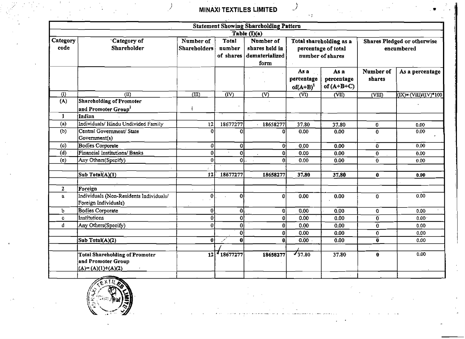$\sim 1$ 

 $\mathcal{I}$ 

|                     |                                                                                    |                           |                              | <b>Statement Showing Shareholding Pattern</b>                                                                                                                                   |                                   |                                    |                     |                           |
|---------------------|------------------------------------------------------------------------------------|---------------------------|------------------------------|---------------------------------------------------------------------------------------------------------------------------------------------------------------------------------|-----------------------------------|------------------------------------|---------------------|---------------------------|
|                     |                                                                                    |                           |                              | $\overline{\text{Table (I)(a)}}$                                                                                                                                                |                                   |                                    |                     |                           |
| Category<br>code    | Category of<br>Shareholder                                                         | Number of<br>Shareholders | Total<br>number<br>of shares | Number of<br>Total shareholding as a<br><b>Shares Pledged or otherwise</b><br>shares held in<br>percentage of total<br>encumbered<br>dematerialized<br>number of shares<br>form |                                   |                                    |                     |                           |
|                     |                                                                                    |                           |                              |                                                                                                                                                                                 | As a<br>percentage<br>$of(A+B)^1$ | As a<br>percentage<br>of $(A+B+C)$ | Number of<br>shares | As a percentage           |
| $\left($ I)         | $\overline{a}$                                                                     | (III)                     | $\overline{(\text{IV})}$     | $\overline{\text{V}}$                                                                                                                                                           | $\overline{\text{CD}}$            | (VII)                              | (VIII)              | $(IX) = (VIII)/(IV)^*100$ |
| (A)<br>$\mathbf{1}$ | <b>Shareholding of Promoter</b><br>and Promoter Group <sup>2</sup><br>Indian       |                           |                              |                                                                                                                                                                                 |                                   |                                    |                     |                           |
| (a)                 | Individuals/Hindu Undivided Family                                                 | 12                        | 18677277                     | 18658277                                                                                                                                                                        | 37.80                             | 37.80                              | $\mathbf 0$         |                           |
| (b)                 | Central Government/ State<br>Government(s)                                         | $\Omega$                  | $\Omega$                     | 0l                                                                                                                                                                              | 0.00                              | 0.00                               | $\bf{0}$            | 0.00<br>0.00              |
| (c)                 | <b>Bodies Corporate</b>                                                            | $\Omega$                  | Οİ                           | $\overline{0}$                                                                                                                                                                  | 0.00                              | 0.00                               | $\overline{0}$      | 0,00                      |
| (d)                 | Financial Institutions/ Banks                                                      | $\mathbf{0}$              | 하                            | $\overline{0}$                                                                                                                                                                  | 0.00                              | 0.00                               | $\bf{0}$            | 0.00                      |
| (e)                 | Any Others(Specify)                                                                | 0 <sup>1</sup>            | oL.                          | $\bf{0}$                                                                                                                                                                        | 0.00                              | 0.00                               | $\overline{0}$      | 0.00                      |
|                     | Sub Total(A)(1)                                                                    | 12                        | 18677277                     | 18658277                                                                                                                                                                        | 37.80                             | 37.80                              | $\mathbf{0}$        | 0.00                      |
| $\mathbf{z}$        | Foreign                                                                            |                           |                              |                                                                                                                                                                                 |                                   |                                    |                     |                           |
| a.                  | Individuals (Non-Residents Individuals/<br>Foreign Individuals)                    | 0                         | 0I                           | $\Omega$                                                                                                                                                                        | 0.00                              | 0.00                               | $\overline{0}$      | 0.00                      |
| Ъ                   | <b>Bodies Corporate</b>                                                            | $\boldsymbol{0}$          | οl                           | $\mathbf{0}$                                                                                                                                                                    | 0.00                              | 0.00                               | $\mathbf 0$         | 0.00                      |
| c.                  | <b>Institutions</b>                                                                | $\bf{0}$                  | $\overline{0}$               | $\bf{0}$                                                                                                                                                                        | 0.00                              | 0.00                               | 0                   | 0.00 <sub>1</sub>         |
| d                   | Any Others(Specify)                                                                | $\boldsymbol{0}$          | 0                            | $\bf{0}$                                                                                                                                                                        | 0.00 <sub>1</sub>                 | 0.00                               | $\mathbf{0}$        | 0.00                      |
|                     |                                                                                    |                           | οl                           | $\boldsymbol{0}$                                                                                                                                                                | 0.00                              | 0.00                               | $\bf{0}$            | 0.00                      |
|                     | Sub Total(A)(2)                                                                    | 0                         | $\mathbf{0}$<br>أمو          | $\mathbf{0}$                                                                                                                                                                    | 0.00                              | 0.00                               | $\mathbf 0$         | 0.00                      |
|                     | <b>Total Shareholding of Promoter</b><br>and Promoter Group<br>$(A)=(A)(1)+(A)(2)$ | 12                        | $-18677277$                  | 18658277                                                                                                                                                                        | 737.80                            | 37.80                              | $\mathbf{0}$        | 0.00                      |
|                     |                                                                                    |                           |                              |                                                                                                                                                                                 |                                   |                                    |                     |                           |

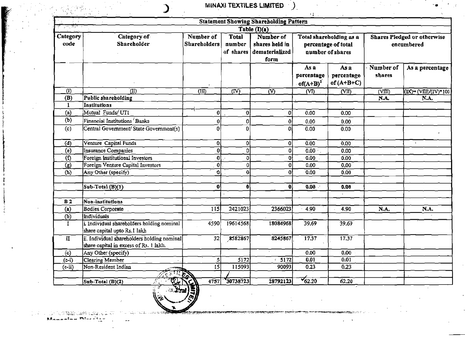|                           |                                                                                       |                                  |                                     | <b>Statement Showing Shareholding Pattern</b>         | <b>K</b> and                                                       |                                    |                                                  |                                                                    |
|---------------------------|---------------------------------------------------------------------------------------|----------------------------------|-------------------------------------|-------------------------------------------------------|--------------------------------------------------------------------|------------------------------------|--------------------------------------------------|--------------------------------------------------------------------|
| ্ৰ জাত                    |                                                                                       |                                  |                                     | Table $(\mathbf{I})(\mathbf{a})$                      |                                                                    |                                    |                                                  |                                                                    |
| Category<br>code          | Category of<br><b>Shareholder</b>                                                     | Number of<br><b>Shareholders</b> | <b>Total</b><br>number<br>of shares | Number of<br>shares held in<br>dematerialized<br>form | Total shareholding as a<br>percentage of total<br>number of shares |                                    | <b>Shares Pledged or otherwise</b><br>encumbered |                                                                    |
|                           |                                                                                       |                                  |                                     |                                                       | As a<br>percentage<br>$of (A+B)^1$                                 | As a<br>percentage<br>of $(A+B+C)$ | Number of<br>shares                              | As a percentage                                                    |
| $\overline{(\mathbf{l})}$ | $\overline{(\text{II})}$                                                              | $\overline{a}$                   | $\overline{\text{Cov}}$             | $\overline{\infty}$                                   | $\overline{\text{C}}$                                              | $\overline{\text{CVD}}$            | $\overline{\text{C}}$                            | $\overline{\text{ (IX)}}$ = $\overline{\text{ (VIII)/(IV)}}$ * 100 |
| (B)                       | Public shareholding                                                                   |                                  |                                     |                                                       |                                                                    |                                    | N.A.                                             | N.A.                                                               |
| 1                         | <b>Institutions</b>                                                                   |                                  |                                     |                                                       |                                                                    |                                    |                                                  |                                                                    |
| (a)                       | Mutual Funds/UTI                                                                      | 0                                | 0                                   | 0                                                     | 0.00                                                               | 0,00                               |                                                  |                                                                    |
| (b)                       | Financial Institutions Banks                                                          | 0                                | 0                                   | 0                                                     | 0.00                                                               | 0.00                               |                                                  |                                                                    |
| (c)                       | Central Government/ State Government(s)                                               | $\mathbf 0$                      | 0                                   | 0                                                     | 0,00                                                               | 0.00                               |                                                  |                                                                    |
| (d)                       | Venture Capital Funds                                                                 | -01                              | οt                                  | 0                                                     | 0.00                                                               | 0.00                               |                                                  |                                                                    |
| $\overline{(\mathbf{e})}$ | Insurance Companies                                                                   | $\boldsymbol{0}$                 | $\Omega$                            | 0                                                     | $0.00 -$                                                           | 0.00                               |                                                  |                                                                    |
| $\Omega$                  | Foreign Institutional Investors                                                       | 0                                | οl                                  | 0                                                     | 0,00                                                               | 0.00                               |                                                  |                                                                    |
| $\overline{(\text{g})}$   | Foreign Venture Capital Investors                                                     | $\mathbf{0}$                     | $\Omega$                            | 0                                                     | 0.00                                                               | 0.00                               |                                                  |                                                                    |
| (h)                       | Any Other (specify)                                                                   | ʻ0ł                              | $\mathbf{0}$                        | $\bf{0}$                                              | 0.00                                                               | 0.00                               |                                                  |                                                                    |
|                           |                                                                                       |                                  |                                     |                                                       |                                                                    |                                    |                                                  |                                                                    |
|                           | Sub-Total (B)(1)                                                                      | $\mathbf{0}$                     | -01                                 | 0.                                                    | $0.00 -$                                                           | 0.00                               |                                                  |                                                                    |
|                           |                                                                                       |                                  |                                     |                                                       |                                                                    |                                    |                                                  |                                                                    |
| B <sub>2</sub>            | Non-institutions                                                                      |                                  |                                     |                                                       |                                                                    |                                    |                                                  |                                                                    |
| (a)                       | Bodies Corporate                                                                      | 115                              | 2421023                             | 2366023                                               | 4.90                                                               | 4.90                               | N.A.                                             | N.A.                                                               |
| (b)                       | Individuals                                                                           |                                  |                                     |                                                       |                                                                    |                                    |                                                  |                                                                    |
| $\bf{I}$                  | i. Individual shareholders holding nominal<br>share capital upto Rs.1 lakh            | 4590                             | 19614568                            | 18084968                                              | 39.69                                                              | 39.69                              |                                                  |                                                                    |
| $\mathbf{I}$              | ii, Individual shareholders holding nominal<br>share capital in excess of Rs. 1 lakh. | 32                               | 8582867                             | 8245867                                               | 17.37                                                              | 17.37                              |                                                  |                                                                    |
| (c)                       | Any Other (specify)                                                                   |                                  |                                     |                                                       | 0.00                                                               | 0.00                               |                                                  |                                                                    |
| $(c-i)$                   | Clearing Member                                                                       | 5                                | 5172                                | $\sqrt{5172}$                                         | $\overline{0.01}$                                                  | 0.01                               |                                                  |                                                                    |
| $(c-ii)$                  | Non-Resident Indian                                                                   | $\overline{15}$                  | 115093                              | 90093                                                 | 0.23                                                               | 0.23                               |                                                  |                                                                    |
|                           |                                                                                       |                                  |                                     |                                                       |                                                                    |                                    |                                                  |                                                                    |
|                           | Sub-Total (B)(2)                                                                      | 4757                             | 30738723                            | 28792123                                              | $\sqrt{62.20}$                                                     | 62.20                              |                                                  |                                                                    |

 $\sim$ 



Manueles Diverge

 $\frac{1}{2}$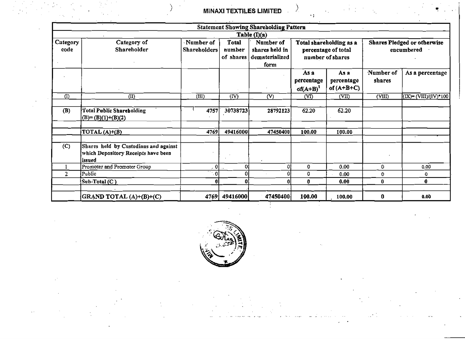MINAXI TEXTILES LIMITED  $\qquad \qquad \qquad \qquad \qquad$ 

|                  |                                                                                        |                                  |                                                                                                                                                                                  | <b>Statement Showing Shareholding Pattern</b> |                                    |                                    |                                    |                                    |
|------------------|----------------------------------------------------------------------------------------|----------------------------------|----------------------------------------------------------------------------------------------------------------------------------------------------------------------------------|-----------------------------------------------|------------------------------------|------------------------------------|------------------------------------|------------------------------------|
|                  |                                                                                        |                                  |                                                                                                                                                                                  | Table $(I)(a)$                                |                                    |                                    |                                    |                                    |
| Category<br>code | Category of<br>Shareholder                                                             | Number of<br><b>Shareholders</b> | <b>Total</b><br>Number of<br>Total shareholding as a<br>shares held in<br>percentage of total<br>encumbered<br>number<br>dematerialized<br>number of shares<br>of shares<br>form |                                               |                                    |                                    | <b>Shares Pledged or otherwise</b> |                                    |
|                  |                                                                                        |                                  |                                                                                                                                                                                  |                                               | As a<br>percentage<br>$of (A+B)^1$ | As a<br>percentage<br>of $(A+B+C)$ | Number of<br>shares                | As a percentage                    |
| (1)              | (II)                                                                                   | $\overline{\text{III}}$          | (IV)                                                                                                                                                                             | (V)                                           | $(V\overline{I})$                  | (VII)                              | $\overline{\text{(VIII)}}$         | $(LX)=(V\overline{III})/(IV)^*100$ |
| (B)              | <b>Total Public Shareholding</b><br>$(B)=(B)(1)+(B)(2)$                                | 4757                             | 30738723                                                                                                                                                                         | 28792123                                      | 62.20                              | 62.20                              |                                    |                                    |
|                  | $\overline{\text{TOTAL}(\text{A})+\text{(B)}}$                                         | 4769                             | 49416000                                                                                                                                                                         | 47450400                                      | 100.00                             | 100.00                             |                                    |                                    |
| (C)              | Shares held by Custodians and against<br>which Depository Receipts have been<br>issued |                                  |                                                                                                                                                                                  |                                               |                                    |                                    |                                    |                                    |
|                  | Promoter and Promoter Group                                                            | 0                                | 0l                                                                                                                                                                               | ٥I                                            | $\bf{0}$                           | 0.00                               | 0                                  | 0.00                               |
| 2 <sup>1</sup>   | $\overline{Public}$                                                                    | $\mathbf 0$                      | n                                                                                                                                                                                |                                               | 0                                  | 0.00                               | 0.                                 | 0                                  |
|                  | Sub-Total (C)                                                                          | 0                                | 0                                                                                                                                                                                |                                               | 0                                  | 0.00                               | $\bf{0}$                           | $\mathbf{0}$                       |
|                  | GRAND TOTAL (A)+(B)+(C)                                                                | 4769                             | 49416000                                                                                                                                                                         | 47450400                                      | 100.00                             | 100.00                             | 0                                  | 0.00                               |

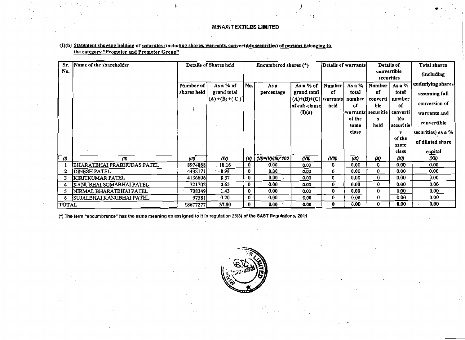| Sr.          | Name of the shareholder           |             | Details of Shares held |                       | Encumbered shares (*) |                                             |              | Details of warrants            |             | Details of                       | Total shares       |
|--------------|-----------------------------------|-------------|------------------------|-----------------------|-----------------------|---------------------------------------------|--------------|--------------------------------|-------------|----------------------------------|--------------------|
| No.          |                                   |             |                        |                       |                       |                                             |              |                                |             | convertible<br><i>securities</i> | (including         |
|              |                                   | Number of   | As a % of              | No.                   | Asa                   | As a % of                                   | Number       | As a %                         | Number      | As a %                           | underlying shares  |
|              |                                   | shares held | grand total            |                       | percentage            | grand total                                 | of           | total                          | оf          | total                            | assuming full      |
|              |                                   |             | $(A)$ +(B) +(C)]       |                       |                       | $(A)+(B)+(C)$   warrants <br>of sub-clausel | held         | number<br>of                   | ble         | converti   number<br>of          | conversion of      |
|              |                                   |             |                        |                       |                       | (I)(a)                                      |              | warrants  securitie   converti |             |                                  | warrants and       |
|              |                                   |             |                        |                       |                       |                                             |              | of the<br>same                 | Я.<br>held  | ble<br>  securiti <del>c</del>   | convertible        |
|              |                                   |             |                        |                       |                       |                                             |              | class                          |             | я                                | securities) as a % |
|              |                                   |             |                        |                       |                       |                                             |              |                                |             | of the<br>same                   | of diluted share   |
|              |                                   |             |                        |                       |                       |                                             |              |                                |             | class                            | capital            |
| $\phi$       | $\langle 0 \rangle$               | (III)       | (IV)                   | $\boldsymbol{\omega}$ | \ {VI}={V)/(III)*100  | (VI)                                        | (VIII)       | $\alpha x$                     | $\infty$    | $\alpha$                         | $\alpha v$         |
|              | <b>BHARATBHAI PRABHUDAS PATEL</b> | 8974868     | 18.16                  | 0.                    | 0.00                  | 0.00                                        | 0.           | 0.00                           | 0           | 0.00                             | 0.00               |
|              | <b>IDINESH PATEL</b>              | 4438171     | $-8.98$                | 0                     | 0.00                  | 0.00                                        | 0            | 0.00                           | $\bf{0}$    | 0.00                             | 0.00               |
| 3            | KIRITKUMAR PATEL<br>$\sim 100$    | 41366061    | 8.37                   | 0                     | 0.00                  | 0.00                                        | 0            | 0.00                           | $\mathbf 0$ | 0.00                             | 0.00 <sub>1</sub>  |
|              | KANUBHAI SOMABHAI PATEL           | 321702      | 0.65                   | 0                     | 0.00                  | 0.00                                        | $\mathbf{0}$ | 0.00                           | 0           | 0.00                             | 0,00               |
| 5            | NIRMAL BHARATBHAI PATEL           | 7083491     | 1.43                   | 0                     | 0.00                  | 0.00                                        | 0.           | 0.00                           | $\bf{0}$    | 0.00                             | 0.00 <sub>1</sub>  |
| 6            | [SUJALBHAI KANUBHAI PATEL]        | 97581       | 0.20                   | 0.                    | 0,00                  | 0.00                                        | 0.           | 0.00                           | $\bf{0}$    | 0.00                             | 0.00               |
| <b>TOTAL</b> |                                   | 18677277    | 37.80                  | 0                     | 0.00                  | 0.00                                        | 0            | 0.00                           | 0           | 0.00                             | 0.00               |

 $\sim$ 

### (1)(b) Statement showing holding of securities (including shares, warrants, convertible securities) of persons belonging to the category "Promoter and Promoter Group"

(\*) The term "encumbrance" has the same meaning as assigned to it in regulation 28(3) of the SAST Regulations, 2011

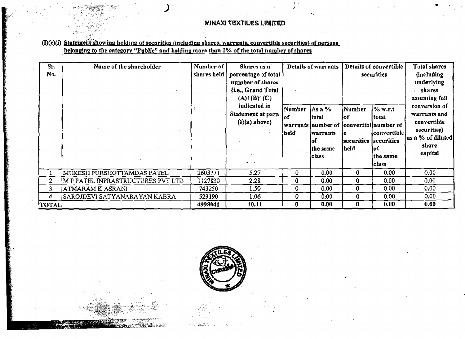### (I)(c)(i) Statement showing holding of securities (including shares, warrants, convertible securities) of persons belonging to the category "Public" and holding more than 1% of the total number of shares

| Sr.<br>No.   | Name of the shareholder           | Number of<br>shares held | Shares as a<br>percentage of total<br>number of shares<br>{i.e., Grand Total<br>$(A)+(B)+(C)$ |    | Details of warrants                                                                          |                                                       | Details of convertible<br>securities                                                      | Total shares<br><i>(including)</i><br>underlying<br>shares<br>assuming full                          |
|--------------|-----------------------------------|--------------------------|-----------------------------------------------------------------------------------------------|----|----------------------------------------------------------------------------------------------|-------------------------------------------------------|-------------------------------------------------------------------------------------------|------------------------------------------------------------------------------------------------------|
|              |                                   |                          | indicated in<br> Number<br>Statement at para<br>lof<br>$(I)(a)$ above}<br>held                |    | $\text{As a } \%$<br>total<br> warrants  number of<br>warrants<br>lof<br> the same<br>class) | Number<br>lof<br>ıе<br>securities securities<br> held | $\%$ w.r.t<br>total<br>convertibl number of<br> convertible <br>lof<br>the same<br> class | conversion of<br>warrants and<br>convertible<br>securities)<br>as a % of diluted<br>share<br>capital |
|              | MUKESH PURSHOTTAMDAS PATEL        | 2603771                  | 5.27                                                                                          | 0  | 0.00                                                                                         | 0                                                     | 0.00 <sub>1</sub>                                                                         | 0.00                                                                                                 |
| 2            | M P PATEL INFRASTRUCTURES PVT LTD | 1127830                  | 2.28                                                                                          | -0 | 0.00                                                                                         | 0                                                     | 0.00                                                                                      | 0.00                                                                                                 |
| 3            | ATMARAM K ASRANI                  | 743250                   | 1.50                                                                                          | 0  | 0.00                                                                                         | 0                                                     | 0.00 <sub>1</sub>                                                                         | 0.00                                                                                                 |
| 4            | SAROJDEVI SATYANARA YAN KABRA     | 523190                   | 1.06                                                                                          | 0  | 0.00                                                                                         | 0                                                     | 0.00                                                                                      | 0.00                                                                                                 |
| <b>TOTAL</b> |                                   | 4998041                  | 10.11                                                                                         | -0 | 0.00                                                                                         | 0                                                     | 0.00                                                                                      | 0.00                                                                                                 |

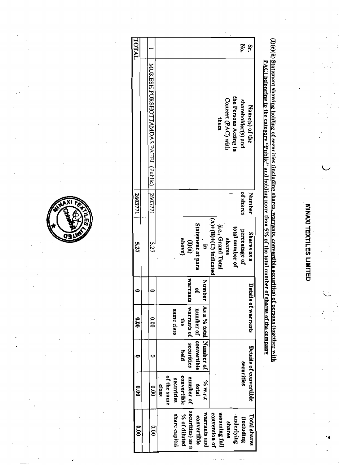(I)(c)(ii) Statement showing holding of securities (including shares, warrants, convertible securities) of persons (together with PAC) belonging to the category "Public" and holding more than 5% of the total number of shares of the company

| 000              | $\frac{1}{2}$          |            | <b>00.0</b>            |        | 5.27                     | 2603771   |                                     | TATOT    |
|------------------|------------------------|------------|------------------------|--------|--------------------------|-----------|-------------------------------------|----------|
|                  |                        |            |                        |        |                          |           |                                     |          |
| o.op             | $\frac{1}{2}$          |            | $\frac{8}{3}$          |        | 5.27                     | 2603771   | MUXESH PURSHOTTAMDAS PATEL (Public) |          |
|                  | 21238                  |            |                        |        |                          |           |                                     |          |
|                  | of the same            |            |                        |        |                          |           |                                     |          |
| share capital    | securities             |            | same class             |        |                          |           |                                     |          |
| % of diluted     | convertible            | held       | Ş                      |        | above}                   |           |                                     |          |
| securities) as a | number of              | securities | varrants   warrants of | ÷      | $\mathbb{D}(\mathbf{a})$ |           |                                     |          |
| convertible      | <b>tota</b>            |            | number of leonvertible | g,     | Statement at para        |           |                                     |          |
| warrants and     | <b>PAR.E.t</b>         |            | As a % total Number of | Number | F                        |           |                                     |          |
| conversion of    |                        |            |                        |        | $(A)+(B)+(C)$ indicated  |           |                                     |          |
| assuming full    |                        |            |                        |        | (i.e., Grand Total       |           | them                                |          |
| <b>shares</b>    |                        |            |                        |        | shares                   |           | Concert (PAC) with                  |          |
| underlying       |                        |            |                        |        | total number of          |           | the Persons Acting in               |          |
| (including       | securities             |            |                        |        | percentage of            | of shares | shareholder(s) and                  | š        |
| Total shares     | Details of convertible |            | Details of warrants    |        | Shares as a              | Number    | Name(s) of the                      | <u>ي</u> |
|                  |                        |            |                        |        |                          |           |                                     |          |

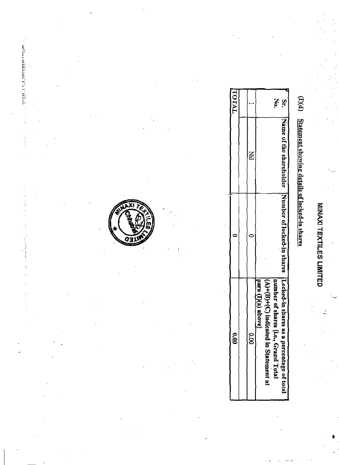# (I)(d) Statement showing details of locked-in shares

| TATOTY |   | š                                                                                                         | St.                                                                                             |
|--------|---|-----------------------------------------------------------------------------------------------------------|-------------------------------------------------------------------------------------------------|
|        | Ξ |                                                                                                           |                                                                                                 |
|        |   |                                                                                                           |                                                                                                 |
| ğ      | ğ | $ (A)+(B)+(C)$ indicato<br>number of shares {i.e., Grand Total<br>para (D(a) above)<br>ed in Statement at | [Name of the shareholder  Number of locked-in shares  Locked-in shares as a percentage of total |

OЭ

○ 4 動物の動物の製作用に関する場合に

 $\ddot{.}$ 

j.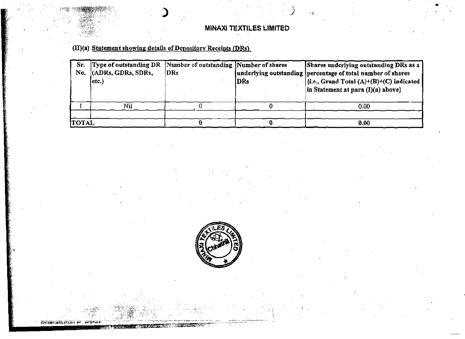### (II)(a) Statement showing details of Depository Receipts (DRs)

| Sr.          | Type of outstanding DR | Number of outstanding Number of shares |            | Shares underlying outstanding DRs as a                          |
|--------------|------------------------|----------------------------------------|------------|-----------------------------------------------------------------|
|              | No. (ADRs, GDRs, SDRs, | DRs                                    |            | underlying outstanding   percentage of total number of shares   |
|              | letc.)                 |                                        | <b>DRs</b> | $ \{i.e., Grand Total (A)+(B)+(C) indicated\} $                 |
|              |                        |                                        |            | $\left  \text{in Statement at para (I)(a) above} \right\rangle$ |
|              |                        |                                        |            |                                                                 |
|              | Nil                    |                                        |            | 0.00                                                            |
|              |                        |                                        |            |                                                                 |
| <b>TOTAL</b> |                        |                                        |            | 0.00                                                            |



**Offeratorial P**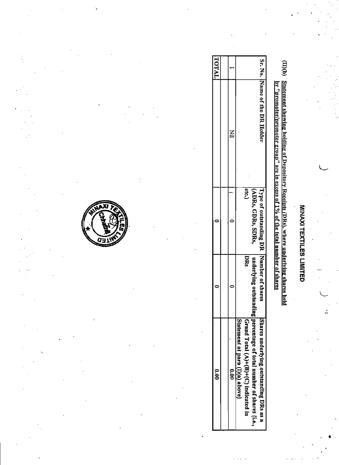# (II)(b) Statement showing holding of Depository Receipts (DRs), where underlying shares held

| ķ                                                                            |
|------------------------------------------------------------------------------|
|                                                                              |
|                                                                              |
|                                                                              |
|                                                                              |
|                                                                              |
|                                                                              |
|                                                                              |
|                                                                              |
|                                                                              |
|                                                                              |
|                                                                              |
|                                                                              |
|                                                                              |
|                                                                              |
|                                                                              |
|                                                                              |
|                                                                              |
|                                                                              |
|                                                                              |
|                                                                              |
|                                                                              |
|                                                                              |
|                                                                              |
|                                                                              |
| . promoter/promoter group" are in excess of 1% of the total number of shares |
|                                                                              |
|                                                                              |
|                                                                              |
|                                                                              |
|                                                                              |
|                                                                              |
|                                                                              |
|                                                                              |
|                                                                              |
|                                                                              |
|                                                                              |
|                                                                              |

| <b>TOTAL</b> |             |                                 |                                      |                                                                    |                                         |
|--------------|-------------|---------------------------------|--------------------------------------|--------------------------------------------------------------------|-----------------------------------------|
|              |             |                                 |                                      |                                                                    | Sr. No. IName of the DR Holder          |
|              |             |                                 | Ctc.)                                | (ADRs, GDRs, SDRs,                                                 | Type of outstanding DR Number of shares |
|              |             |                                 | pRs                                  |                                                                    |                                         |
| e.<br>S      | <b>S.00</b> | Statement at para (I)(a) above) | Grand Total (A)+(B)+(E) indicated in | underlying outstanding percentage of total number of shares (i.e., | Shares underlying.outstanding DRs as a  |